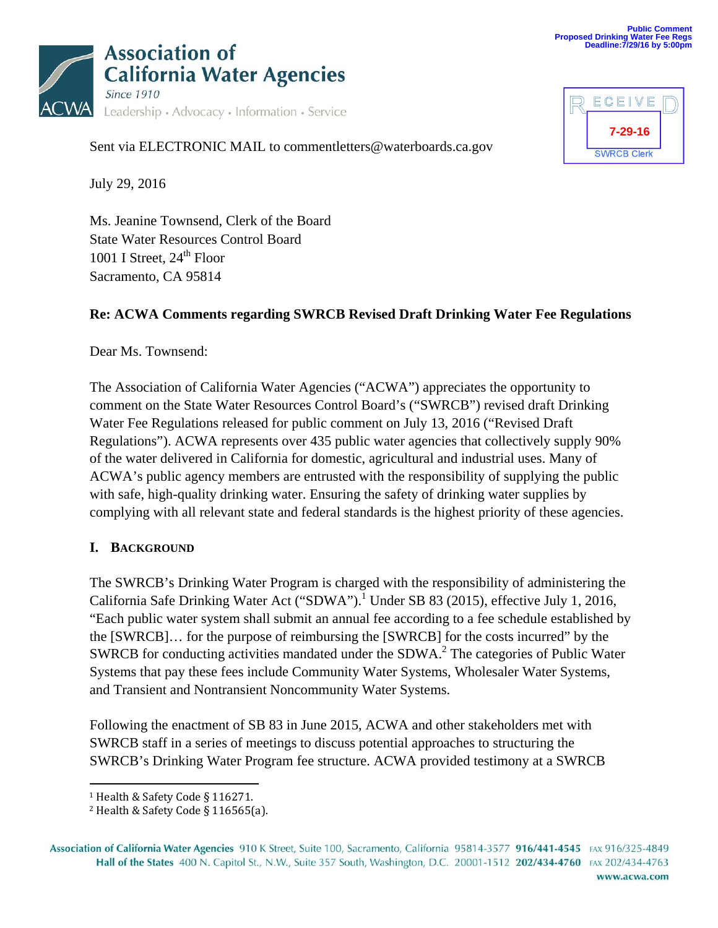

| ECEIVE             |  |
|--------------------|--|
| 7-29-16            |  |
| <b>SWRCB Clerk</b> |  |

Sent via ELECTRONIC MAIL to commentletters@waterboards.ca.gov

July 29, 2016

Ms. Jeanine Townsend, Clerk of the Board State Water Resources Control Board 1001 I Street,  $24<sup>th</sup>$  Floor Sacramento, CA 95814

### **Re: ACWA Comments regarding SWRCB Revised Draft Drinking Water Fee Regulations**

Dear Ms. Townsend:

The Association of California Water Agencies ("ACWA") appreciates the opportunity to comment on the State Water Resources Control Board's ("SWRCB") revised draft Drinking Water Fee Regulations released for public comment on July 13, 2016 ("Revised Draft Regulations"). ACWA represents over 435 public water agencies that collectively supply 90% of the water delivered in California for domestic, agricultural and industrial uses. Many of ACWA's public agency members are entrusted with the responsibility of supplying the public with safe, high-quality drinking water. Ensuring the safety of drinking water supplies by complying with all relevant state and federal standards is the highest priority of these agencies.

#### **I. BACKGROUND**

The SWRCB's Drinking Water Program is charged with the responsibility of administering the California Safe Drinking Water Act ("SDWA").<sup>1</sup> Under SB 83 (2015), effective July 1, 2016, "Each public water system shall submit an annual fee according to a fee schedule established by the [SWRCB]… for the purpose of reimbursing the [SWRCB] for the costs incurred" by the SWRCB for conducting activities mandated under the SDWA. $^2$  The categories of Public Water Systems that pay these fees include Community Water Systems, Wholesaler Water Systems, and Transient and Nontransient Noncommunity Water Systems.

Following the enactment of SB 83 in June 2015, ACWA and other stakeholders met with SWRCB staff in a series of meetings to discuss potential approaches to structuring the SWRCB's Drinking Water Program fee structure. ACWA provided testimony at a SWRCB

 <sup>1</sup> Health & Safety Code § 116271.

 $2$  Health & Safety Code § 116565(a).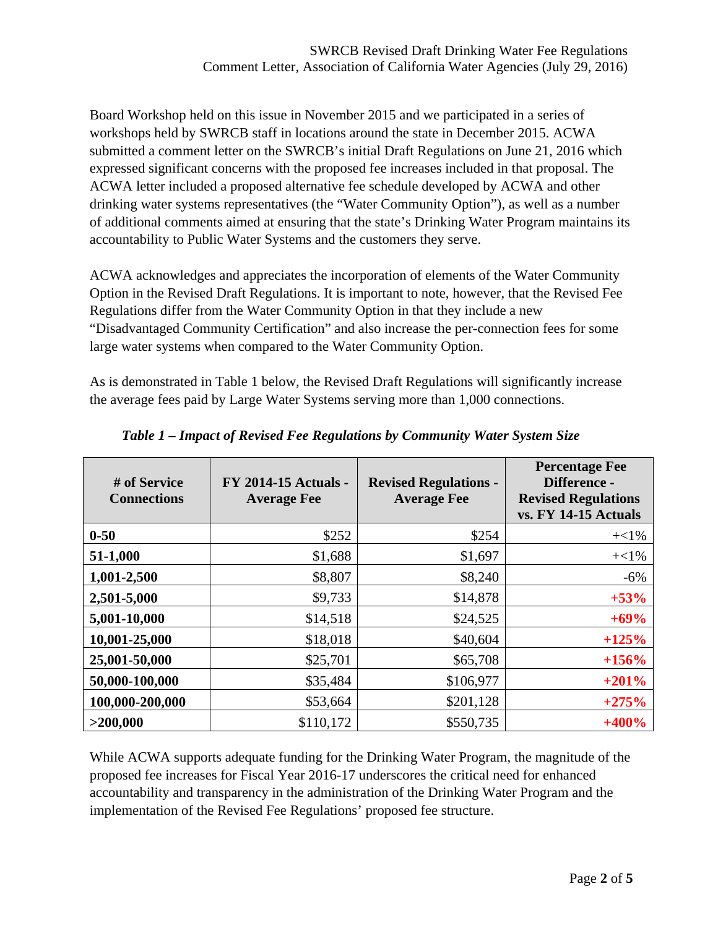Board Workshop held on this issue in November 2015 and we participated in a series of workshops held by SWRCB staff in locations around the state in December 2015. ACWA submitted a comment letter on the SWRCB's initial Draft Regulations on June 21, 2016 which expressed significant concerns with the proposed fee increases included in that proposal. The ACWA letter included a proposed alternative fee schedule developed by ACWA and other drinking water systems representatives (the "Water Community Option"), as well as a number of additional comments aimed at ensuring that the state's Drinking Water Program maintains its accountability to Public Water Systems and the customers they serve.

ACWA acknowledges and appreciates the incorporation of elements of the Water Community Option in the Revised Draft Regulations. It is important to note, however, that the Revised Fee Regulations differ from the Water Community Option in that they include a new "Disadvantaged Community Certification" and also increase the per-connection fees for some large water systems when compared to the Water Community Option.

As is demonstrated in Table 1 below, the Revised Draft Regulations will significantly increase the average fees paid by Large Water Systems serving more than 1,000 connections.

| # of Service<br><b>Connections</b> | <b>FY 2014-15 Actuals -</b><br><b>Average Fee</b> | <b>Revised Regulations -</b><br><b>Average Fee</b> | <b>Percentage Fee</b><br>Difference -<br><b>Revised Regulations</b><br>vs. FY 14-15 Actuals |
|------------------------------------|---------------------------------------------------|----------------------------------------------------|---------------------------------------------------------------------------------------------|
| $0 - 50$                           | \$252                                             | \$254                                              | $+<1\%$                                                                                     |
| 51-1,000                           | \$1,688                                           | \$1,697                                            | $+<1\%$                                                                                     |
| 1,001-2,500                        | \$8,807                                           | \$8,240                                            | $-6\%$                                                                                      |
| 2,501-5,000                        | \$9,733                                           | \$14,878                                           | $+53%$                                                                                      |
| 5,001-10,000                       | \$14,518                                          | \$24,525                                           | $+69%$                                                                                      |
| 10,001-25,000                      | \$18,018                                          | \$40,604                                           | $+125%$                                                                                     |
| 25,001-50,000                      | \$25,701                                          | \$65,708                                           | $+156%$                                                                                     |
| 50,000-100,000                     | \$35,484                                          | \$106,977                                          | $+201%$                                                                                     |
| 100,000-200,000                    | \$53,664                                          | \$201,128                                          | $+275%$                                                                                     |
| >200,000                           | \$110,172                                         | \$550,735                                          | $+400%$                                                                                     |

*Table 1 – Impact of Revised Fee Regulations by Community Water System Size* 

While ACWA supports adequate funding for the Drinking Water Program, the magnitude of the proposed fee increases for Fiscal Year 2016-17 underscores the critical need for enhanced accountability and transparency in the administration of the Drinking Water Program and the implementation of the Revised Fee Regulations' proposed fee structure.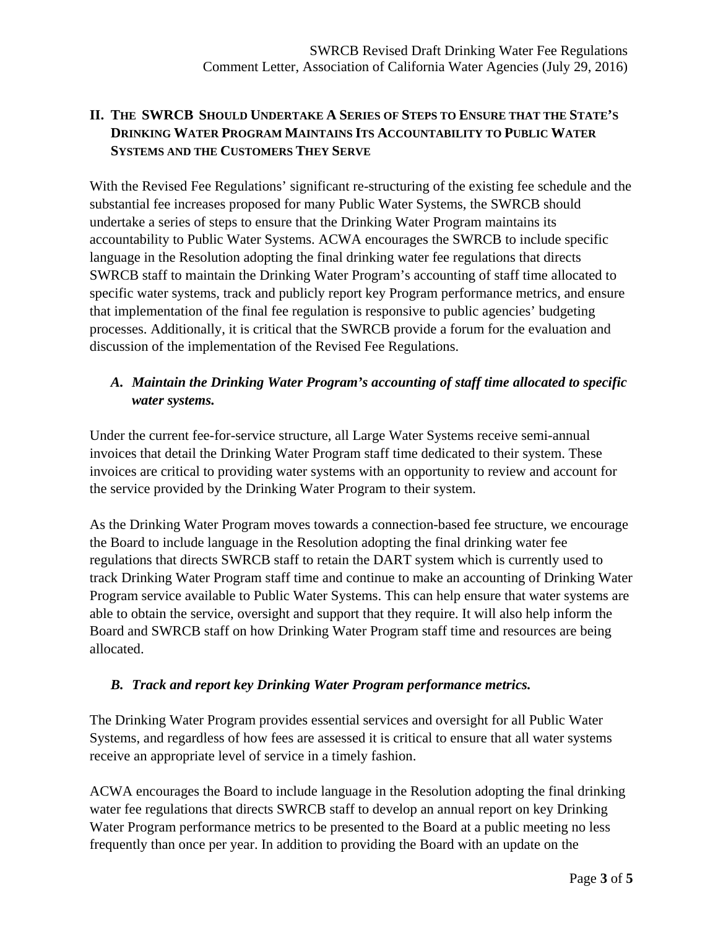## **II. THE SWRCB SHOULD UNDERTAKE A SERIES OF STEPS TO ENSURE THAT THE STATE'S DRINKING WATER PROGRAM MAINTAINS ITS ACCOUNTABILITY TO PUBLIC WATER SYSTEMS AND THE CUSTOMERS THEY SERVE**

With the Revised Fee Regulations' significant re-structuring of the existing fee schedule and the substantial fee increases proposed for many Public Water Systems, the SWRCB should undertake a series of steps to ensure that the Drinking Water Program maintains its accountability to Public Water Systems. ACWA encourages the SWRCB to include specific language in the Resolution adopting the final drinking water fee regulations that directs SWRCB staff to maintain the Drinking Water Program's accounting of staff time allocated to specific water systems, track and publicly report key Program performance metrics, and ensure that implementation of the final fee regulation is responsive to public agencies' budgeting processes. Additionally, it is critical that the SWRCB provide a forum for the evaluation and discussion of the implementation of the Revised Fee Regulations.

### *A. Maintain the Drinking Water Program's accounting of staff time allocated to specific water systems.*

Under the current fee-for-service structure, all Large Water Systems receive semi-annual invoices that detail the Drinking Water Program staff time dedicated to their system. These invoices are critical to providing water systems with an opportunity to review and account for the service provided by the Drinking Water Program to their system.

As the Drinking Water Program moves towards a connection-based fee structure, we encourage the Board to include language in the Resolution adopting the final drinking water fee regulations that directs SWRCB staff to retain the DART system which is currently used to track Drinking Water Program staff time and continue to make an accounting of Drinking Water Program service available to Public Water Systems. This can help ensure that water systems are able to obtain the service, oversight and support that they require. It will also help inform the Board and SWRCB staff on how Drinking Water Program staff time and resources are being allocated.

#### *B. Track and report key Drinking Water Program performance metrics.*

The Drinking Water Program provides essential services and oversight for all Public Water Systems, and regardless of how fees are assessed it is critical to ensure that all water systems receive an appropriate level of service in a timely fashion.

ACWA encourages the Board to include language in the Resolution adopting the final drinking water fee regulations that directs SWRCB staff to develop an annual report on key Drinking Water Program performance metrics to be presented to the Board at a public meeting no less frequently than once per year. In addition to providing the Board with an update on the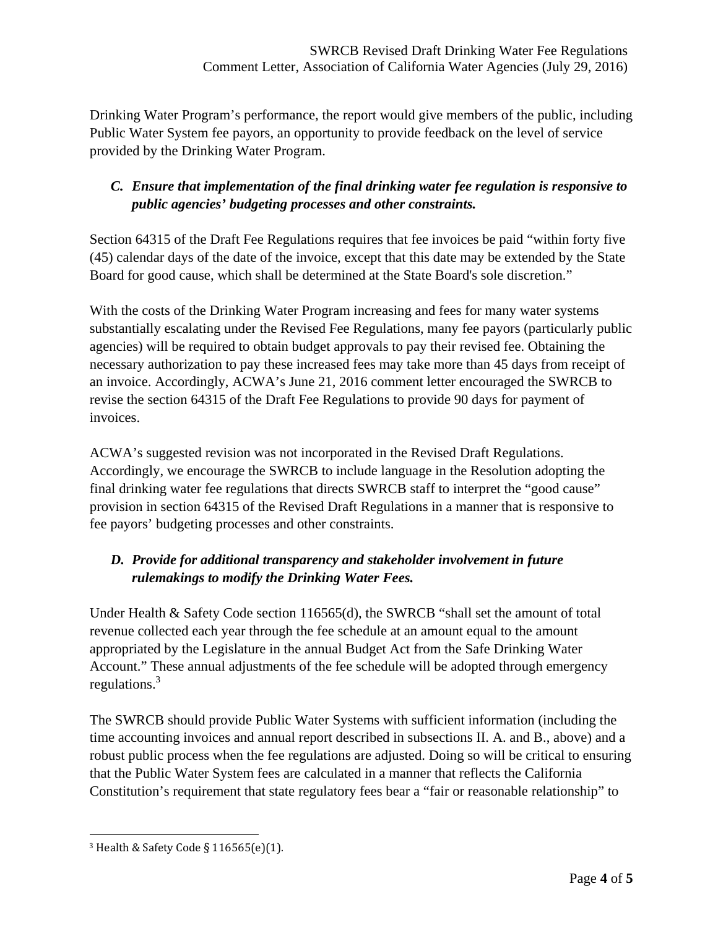Drinking Water Program's performance, the report would give members of the public, including Public Water System fee payors, an opportunity to provide feedback on the level of service provided by the Drinking Water Program.

### *C. Ensure that implementation of the final drinking water fee regulation is responsive to public agencies' budgeting processes and other constraints.*

Section 64315 of the Draft Fee Regulations requires that fee invoices be paid "within forty five (45) calendar days of the date of the invoice, except that this date may be extended by the State Board for good cause, which shall be determined at the State Board's sole discretion."

With the costs of the Drinking Water Program increasing and fees for many water systems substantially escalating under the Revised Fee Regulations, many fee payors (particularly public agencies) will be required to obtain budget approvals to pay their revised fee. Obtaining the necessary authorization to pay these increased fees may take more than 45 days from receipt of an invoice. Accordingly, ACWA's June 21, 2016 comment letter encouraged the SWRCB to revise the section 64315 of the Draft Fee Regulations to provide 90 days for payment of invoices.

ACWA's suggested revision was not incorporated in the Revised Draft Regulations. Accordingly, we encourage the SWRCB to include language in the Resolution adopting the final drinking water fee regulations that directs SWRCB staff to interpret the "good cause" provision in section 64315 of the Revised Draft Regulations in a manner that is responsive to fee payors' budgeting processes and other constraints.

# *D. Provide for additional transparency and stakeholder involvement in future rulemakings to modify the Drinking Water Fees.*

Under Health & Safety Code section 116565(d), the SWRCB "shall set the amount of total revenue collected each year through the fee schedule at an amount equal to the amount appropriated by the Legislature in the annual Budget Act from the Safe Drinking Water Account." These annual adjustments of the fee schedule will be adopted through emergency regulations.<sup>3</sup>

The SWRCB should provide Public Water Systems with sufficient information (including the time accounting invoices and annual report described in subsections II. A. and B., above) and a robust public process when the fee regulations are adjusted. Doing so will be critical to ensuring that the Public Water System fees are calculated in a manner that reflects the California Constitution's requirement that state regulatory fees bear a "fair or reasonable relationship" to

<u> 1989 - Johann Stein, fransk politik (d. 1989)</u>

<sup>&</sup>lt;sup>3</sup> Health & Safety Code §  $116565(e)(1)$ .